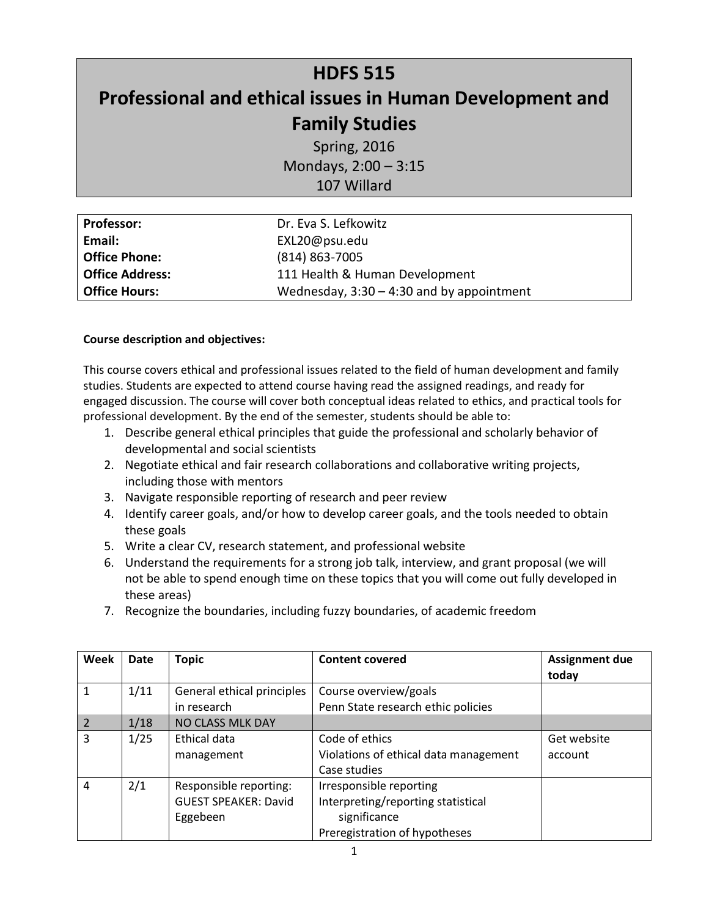# **HDFS 515 Professional and ethical issues in Human Development and Family Studies**

Spring, 2016 Mondays, 2:00 – 3:15 107 Willard

| <b>Professor:</b>      | Dr. Eva S. Lefkowitz                        |  |
|------------------------|---------------------------------------------|--|
| Email:                 | EXL20@psu.edu                               |  |
| <b>Office Phone:</b>   | $(814) 863 - 7005$                          |  |
| <b>Office Address:</b> | 111 Health & Human Development              |  |
| <b>Office Hours:</b>   | Wednesday, $3:30 - 4:30$ and by appointment |  |

## **Course description and objectives:**

This course covers ethical and professional issues related to the field of human development and family studies. Students are expected to attend course having read the assigned readings, and ready for engaged discussion. The course will cover both conceptual ideas related to ethics, and practical tools for professional development. By the end of the semester, students should be able to:

- 1. Describe general ethical principles that guide the professional and scholarly behavior of developmental and social scientists
- 2. Negotiate ethical and fair research collaborations and collaborative writing projects, including those with mentors
- 3. Navigate responsible reporting of research and peer review
- 4. Identify career goals, and/or how to develop career goals, and the tools needed to obtain these goals
- 5. Write a clear CV, research statement, and professional website
- 6. Understand the requirements for a strong job talk, interview, and grant proposal (we will not be able to spend enough time on these topics that you will come out fully developed in these areas)
- 7. Recognize the boundaries, including fuzzy boundaries, of academic freedom

| Week | Date | <b>Topic</b>                | <b>Content covered</b>                | <b>Assignment due</b><br>today |
|------|------|-----------------------------|---------------------------------------|--------------------------------|
|      | 1/11 | General ethical principles  | Course overview/goals                 |                                |
|      |      | in research                 | Penn State research ethic policies    |                                |
|      | 1/18 | NO CLASS MLK DAY            |                                       |                                |
| 3    | 1/25 | Ethical data                | Code of ethics                        | Get website                    |
|      |      | management                  | Violations of ethical data management | account                        |
|      |      |                             | Case studies                          |                                |
| 4    | 2/1  | Responsible reporting:      | Irresponsible reporting               |                                |
|      |      | <b>GUEST SPEAKER: David</b> | Interpreting/reporting statistical    |                                |
|      |      | Eggebeen                    | significance                          |                                |
|      |      |                             | Preregistration of hypotheses         |                                |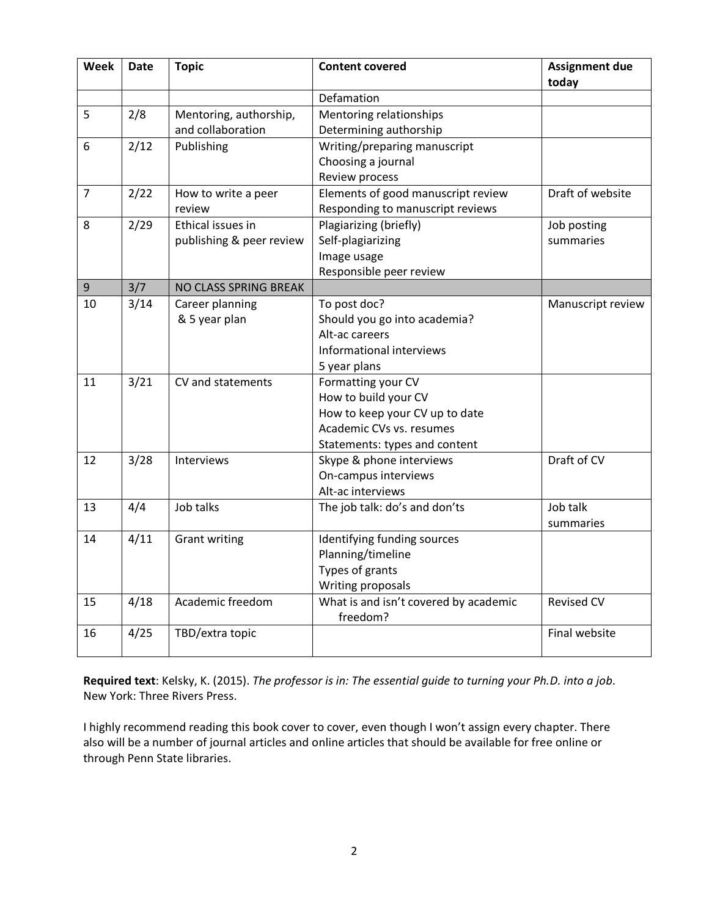| Week           | Date | <b>Topic</b>             | <b>Content covered</b>                | <b>Assignment due</b><br>today |
|----------------|------|--------------------------|---------------------------------------|--------------------------------|
|                |      |                          | Defamation                            |                                |
| 5              | 2/8  | Mentoring, authorship,   | Mentoring relationships               |                                |
|                |      | and collaboration        | Determining authorship                |                                |
| 6              | 2/12 | Publishing               | Writing/preparing manuscript          |                                |
|                |      |                          | Choosing a journal                    |                                |
|                |      |                          | Review process                        |                                |
| $\overline{7}$ | 2/22 | How to write a peer      | Elements of good manuscript review    | Draft of website               |
|                |      | review                   | Responding to manuscript reviews      |                                |
| 8              | 2/29 | Ethical issues in        | Plagiarizing (briefly)                | Job posting                    |
|                |      | publishing & peer review | Self-plagiarizing                     | summaries                      |
|                |      |                          | Image usage                           |                                |
|                |      |                          | Responsible peer review               |                                |
| 9              | 3/7  | NO CLASS SPRING BREAK    |                                       |                                |
| 10             | 3/14 | Career planning          | To post doc?                          | Manuscript review              |
|                |      | & 5 year plan            | Should you go into academia?          |                                |
|                |      |                          | Alt-ac careers                        |                                |
|                |      |                          | Informational interviews              |                                |
|                |      |                          | 5 year plans                          |                                |
| 11             | 3/21 | CV and statements        | Formatting your CV                    |                                |
|                |      |                          | How to build your CV                  |                                |
|                |      |                          | How to keep your CV up to date        |                                |
|                |      |                          | Academic CVs vs. resumes              |                                |
|                |      |                          | Statements: types and content         |                                |
| 12             | 3/28 | Interviews               | Skype & phone interviews              | Draft of CV                    |
|                |      |                          | On-campus interviews                  |                                |
|                |      |                          | Alt-ac interviews                     |                                |
| 13             | 4/4  | Job talks                | The job talk: do's and don'ts         | Job talk                       |
|                |      |                          |                                       | summaries                      |
| 14             | 4/11 | <b>Grant writing</b>     | Identifying funding sources           |                                |
|                |      |                          | Planning/timeline                     |                                |
|                |      |                          | Types of grants                       |                                |
|                |      |                          | Writing proposals                     |                                |
| 15             | 4/18 | Academic freedom         | What is and isn't covered by academic | <b>Revised CV</b>              |
|                |      |                          | freedom?                              |                                |
| 16             | 4/25 | TBD/extra topic          |                                       | Final website                  |

**Required text**: Kelsky, K. (2015). *The professor is in: The essential guide to turning your Ph.D. into a job*. New York: Three Rivers Press.

I highly recommend reading this book cover to cover, even though I won't assign every chapter. There also will be a number of journal articles and online articles that should be available for free online or through Penn State libraries.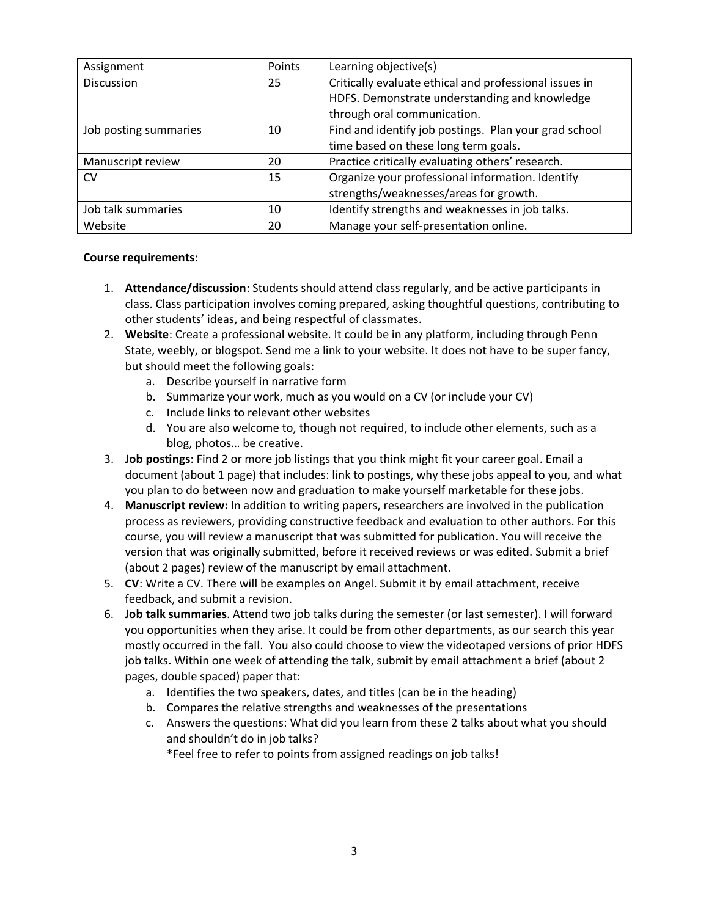| Assignment            | Points | Learning objective(s)                                  |
|-----------------------|--------|--------------------------------------------------------|
| <b>Discussion</b>     | 25     | Critically evaluate ethical and professional issues in |
|                       |        | HDFS. Demonstrate understanding and knowledge          |
|                       |        | through oral communication.                            |
| Job posting summaries | 10     | Find and identify job postings. Plan your grad school  |
|                       |        | time based on these long term goals.                   |
| Manuscript review     | 20     | Practice critically evaluating others' research.       |
| <b>CV</b>             | 15     | Organize your professional information. Identify       |
|                       |        | strengths/weaknesses/areas for growth.                 |
| Job talk summaries    | 10     | Identify strengths and weaknesses in job talks.        |
| Website               | 20     | Manage your self-presentation online.                  |

## **Course requirements:**

- 1. **Attendance/discussion**: Students should attend class regularly, and be active participants in class. Class participation involves coming prepared, asking thoughtful questions, contributing to other students' ideas, and being respectful of classmates.
- 2. **Website**: Create a professional website. It could be in any platform, including through Penn State, weebly, or blogspot. Send me a link to your website. It does not have to be super fancy, but should meet the following goals:
	- a. Describe yourself in narrative form
	- b. Summarize your work, much as you would on a CV (or include your CV)
	- c. Include links to relevant other websites
	- d. You are also welcome to, though not required, to include other elements, such as a blog, photos… be creative.
- 3. **Job postings**: Find 2 or more job listings that you think might fit your career goal. Email a document (about 1 page) that includes: link to postings, why these jobs appeal to you, and what you plan to do between now and graduation to make yourself marketable for these jobs.
- 4. **Manuscript review:** In addition to writing papers, researchers are involved in the publication process as reviewers, providing constructive feedback and evaluation to other authors. For this course, you will review a manuscript that was submitted for publication. You will receive the version that was originally submitted, before it received reviews or was edited. Submit a brief (about 2 pages) review of the manuscript by email attachment.
- 5. **CV**: Write a CV. There will be examples on Angel. Submit it by email attachment, receive feedback, and submit a revision.
- 6. **Job talk summaries**. Attend two job talks during the semester (or last semester). I will forward you opportunities when they arise. It could be from other departments, as our search this year mostly occurred in the fall. You also could choose to view the videotaped versions of prior HDFS job talks. Within one week of attending the talk, submit by email attachment a brief (about 2 pages, double spaced) paper that:
	- a. Identifies the two speakers, dates, and titles (can be in the heading)
	- b. Compares the relative strengths and weaknesses of the presentations
	- c. Answers the questions: What did you learn from these 2 talks about what you should and shouldn't do in job talks?

\*Feel free to refer to points from assigned readings on job talks!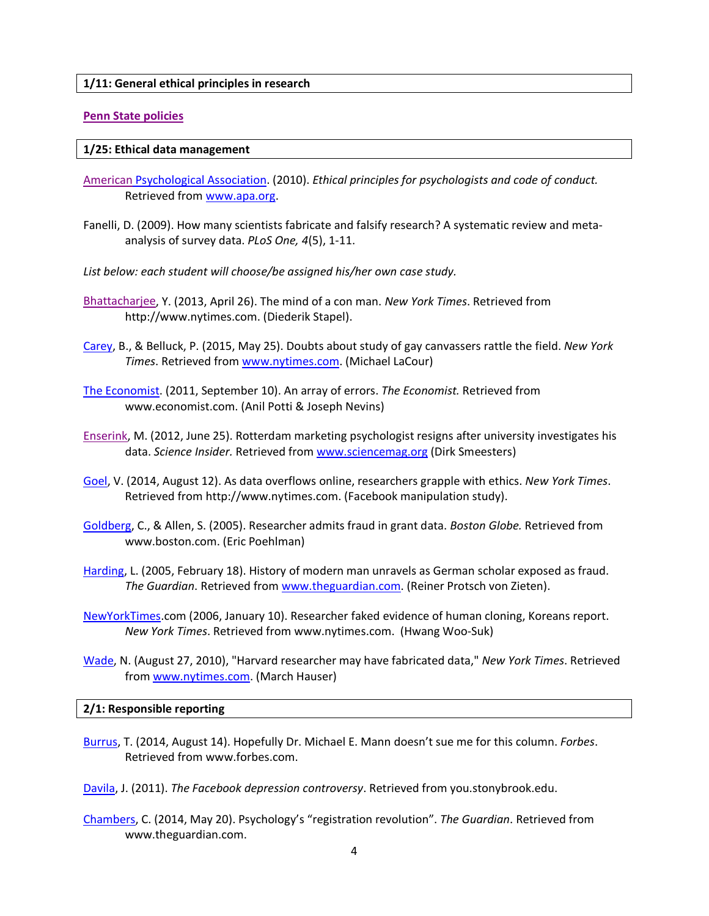#### **1/11: General ethical principles in research**

#### **[Penn State policies](http://guru.psu.edu/policies/RAG16.html)**

#### **1/25: Ethical data management**

- [American](http://www.apa.org/ethics/code/principles.pdf) Psychological Association. (2010). *Ethical principles for psychologists and code of conduct.* Retrieved from [www.apa.org.](http://www.apa.org/)
- Fanelli, D. (2009). How many scientists fabricate and falsify research? A systematic review and metaanalysis of survey data. *PLoS One, 4*(5), 1-11.
- *List below: each student will choose/be assigned his/her own case study.*
- [Bhattacharjee,](http://www.nytimes.com/2013/04/28/magazine/diederik-stapels-audacious-academic-fraud.html?pagewanted=1&_r=2&src=dayp) Y. (2013, April 26). The mind of a con man. *New York Times*. Retrieved from http://www.nytimes.com. (Diederik Stapel).
- [Carey,](http://www.nytimes.com/2015/05/26/science/maligned-study-on-gay-marriage-is-shaking-trust.html) B., & Belluck, P. (2015, May 25). Doubts about study of gay canvassers rattle the field. *New York Times*. Retrieved from [www.nytimes.com.](http://www.nytimes.com/) (Michael LaCour)
- [The Economist.](http://www.economist.com/node/21528593) (2011, September 10). An array of errors. *The Economist.* Retrieved from www.economist.com. (Anil Potti & Joseph Nevins)
- [Enserink,](http://news.sciencemag.org/education/2012/06/rotterdam-marketing-psychologist-resigns-after-university-investigates-his-data?ref=hp) M. (2012, June 25). Rotterdam marketing psychologist resigns after university investigates his data. *Science Insider.* Retrieved from [www.sciencemag.org](http://www.sciencemag.org/) (Dirk Smeesters)
- [Goel,](http://www.nytimes.com/2014/08/13/technology/the-boon-of-online-data-puts-social-science-in-a-quandary.html?emc=eta1) V. (2014, August 12). As data overflows online, researchers grapple with ethics. *New York Times*. Retrieved from http://www.nytimes.com. (Facebook manipulation study).
- [Goldberg,](http://www.boston.com/news/nation/articles/2005/03/18/researcher_admits_fraud_in_grant_data?pg=full) C., & Allen, S. (2005). Researcher admits fraud in grant data. *Boston Globe.* Retrieved from www.boston.com. (Eric Poehlman)
- [Harding,](http://www.theguardian.com/science/2005/feb/19/science.sciencenews) L. (2005, February 18). History of modern man unravels as German scholar exposed as fraud. *The Guardian*. Retrieved from [www.theguardian.com.](http://www.theguardian.com/) (Reiner Protsch von Zieten).
- [NewYorkTimes.](http://www.nytimes.com/2006/01/10/science/10clone.html?_r=1&adxnnl=1&oref=slogin&adxnnlx=1208885616-O3zsrqSTadwpnwni5G+Fqg)com (2006, January 10). Researcher faked evidence of human cloning, Koreans report. *New York Times*. Retrieved from www.nytimes.com. (Hwang Woo-Suk)
- [Wade,](http://www.nytimes.com/2010/08/28/science/28harvard.html?_r=0) N. (August 27, 2010), "Harvard researcher may have fabricated data," *New York Times*. Retrieved from [www.nytimes.com.](http://www.nytimes.com/) (March Hauser)

#### **2/1: Responsible reporting**

[Burrus,](http://www.forbes.com/sites/trevorburrus/2014/08/14/hopefully-dr-michael-e-mann-doesnt-sue-me-for-this-column/) T. (2014, August 14). Hopefully Dr. Michael E. Mann doesn't sue me for this column. *Forbes*. Retrieved from www.forbes.com.

[Davila,](http://you.stonybrook.edu/davilalab/the-facebook-depression-controversy/) J. (2011). *The Facebook depression controversy*. Retrieved from you.stonybrook.edu.

[Chambers,](http://www.theguardian.com/science/head-quarters/2014/may/20/psychology-registration-revolution) C. (2014, May 20). Psychology's "registration revolution". *The Guardian*. Retrieved from www.theguardian.com.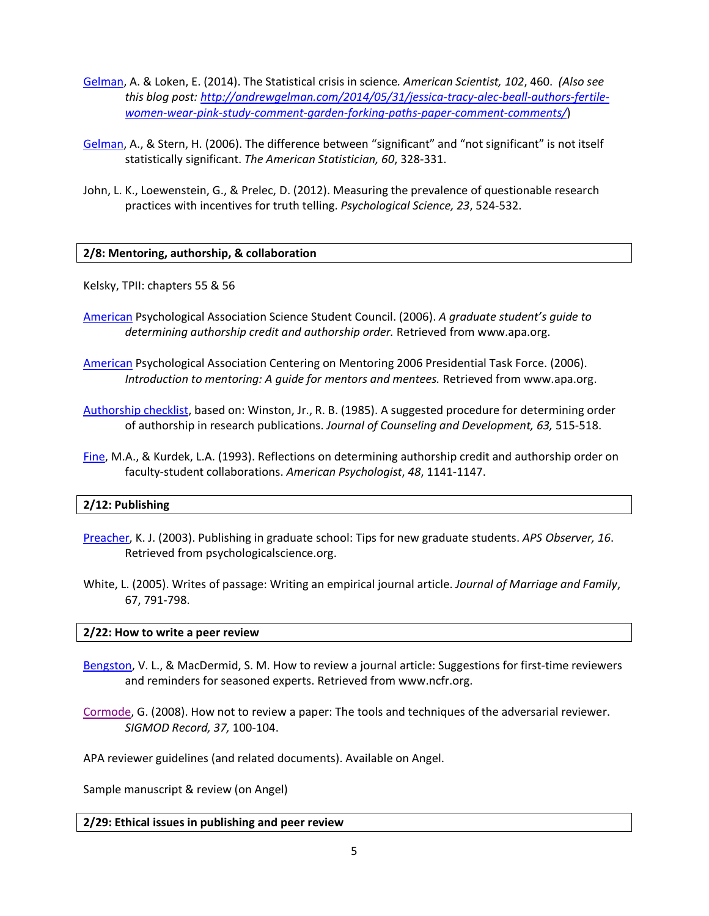- [Gelman,](https://www.americanscientist.org/issues/feature/2014/6/the-statistical-crisis-in-science) A. & Loken, E. (2014). The Statistical crisis in science*. American Scientist, 102*, 460. *(Also see this blog post: [http://andrewgelman.com/2014/05/31/jessica-tracy-alec-beall-authors-fertile](http://andrewgelman.com/2014/05/31/jessica-tracy-alec-beall-authors-fertile-women-wear-pink-study-comment-garden-forking-paths-paper-comment-comments/)[women-wear-pink-study-comment-garden-forking-paths-paper-comment-comments/](http://andrewgelman.com/2014/05/31/jessica-tracy-alec-beall-authors-fertile-women-wear-pink-study-comment-garden-forking-paths-paper-comment-comments/)*)
- [Gelman,](http://www.google.com/url?sa=t&rct=j&q=&esrc=s&source=web&cd=1&ved=0CB4QFjAA&url=http%3A%2F%2Fwww.stat.columbia.edu%2F%7Egelman%2Fresearch%2Fpublished%2Fsignif4.pdf&ei=j9i3VK3IGKT9sASNx4GQDQ&usg=AFQjCNGqDfu3Qs8wXWOZUEUVMSPaH-IL7Q&sig2=5F-_2DIlIALm3lzQ96K66w&bvm=bv.83640239,d.cWc&cad=rjt) A., & Stern, H. (2006). The difference between "significant" and "not significant" is not itself statistically significant. *The American Statistician, 60*, 328-331.
- John, L. K., Loewenstein, G., & Prelec, D. (2012). Measuring the prevalence of questionable research practices with incentives for truth telling. *Psychological Science, 23*, 524-532.

## **2/8: Mentoring, authorship, & collaboration**

Kelsky, TPII: chapters 55 & 56

- [American](http://www.google.com/url?sa=t&rct=j&q=&esrc=s&source=web&cd=1&ved=0CB4QFjAA&url=http%3A%2F%2Fwww.apa.org%2Fscience%2Fleadership%2Fstudents%2Fauthorship-paper.pdf&ei=dw5tVMqZLdCMsQSsp4LwAw&usg=AFQjCNE0Fwcq2G1Js-Ct5QcdT0xi9OfVGw&sig2=QzGH6XP7X1o1MYe99z-2tw&bvm=bv.80120444,d.cWc&cad=rjt) Psychological Association Science Student Council. (2006). *A graduate student's guide to determining authorship credit and authorship order.* Retrieved from www.apa.org.
- [American](http://www.apa.org/education/grad/mentoring.aspx) Psychological Association Centering on Mentoring 2006 Presidential Task Force. (2006). *Introduction to mentoring: A guide for mentors and mentees.* Retrieved from www.apa.org.
- [Authorship checklist,](https://www.google.com/url?sa=t&rct=j&q=&esrc=s&source=web&cd=1&ved=0CB4QFjAA&url=https%3A%2F%2Fwww.apa.org%2Fscience%2Fleadership%2Fstudents%2Fauthorship-determination.pdf&ei=r0G3VJStIMq8ggT0oYToAg&usg=AFQjCNF-000CokjDTyQGBAoBYBCE-4xdiw&sig2=Q-g2ivi_MruNxw-03ann2Q&bvm=bv.83829542,d.eXY&cad=rjt) based on: Winston, Jr., R. B. (1985). A suggested procedure for determining order of authorship in research publications. *Journal of Counseling and Development, 63,* 515-518.
- [Fine,](http://www.apastyle.org/manual/related/fine-1993.pdf) M.A., & Kurdek, L.A. (1993). Reflections on determining authorship credit and authorship order on faculty-student collaborations. *American Psychologist*, *48*, 1141-1147.

## **2/12: Publishing**

- [Preacher,](http://www.psychologicalscience.org/index.php/uncategorized/publishing-in-graduate-school-tips-for-new-graduate-students-2.html) K. J. (2003). Publishing in graduate school: Tips for new graduate students. *APS Observer, 16*. Retrieved from psychologicalscience.org.
- White, L. (2005). Writes of passage: Writing an empirical journal article. *Journal of Marriage and Family*, 67, 791-798.

## **2/22: How to write a peer review**

- [Bengston,](https://www.ncfr.org/jmf/jmf-reviewers/reviewer-guidelines) V. L., & MacDermid, S. M. How to review a journal article: Suggestions for first-time reviewers and reminders for seasoned experts. Retrieved from www.ncfr.org.
- [Cormode,](http://dimacs.rutgers.edu/%7Egraham/pubs/papers/adversarial.pdf) G. (2008). How not to review a paper: The tools and techniques of the adversarial reviewer. *SIGMOD Record, 37,* 100-104.

APA reviewer guidelines (and related documents). Available on Angel.

Sample manuscript & review (on Angel)

## **2/29: Ethical issues in publishing and peer review**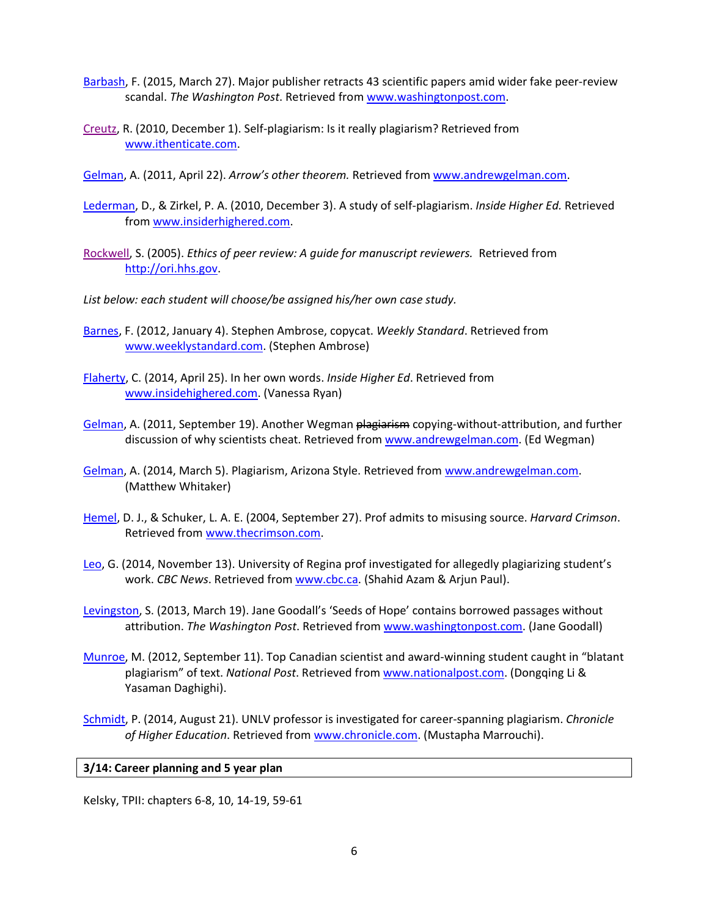- [Barbash,](http://www.washingtonpost.com/news/morning-mix/wp/2015/03/27/fabricated-peer-reviews-prompt-scientific-journal-to-retract-43-papers-systematic-scheme-may-affect-other-journals) F. (2015, March 27). Major publisher retracts 43 scientific papers amid wider fake peer-review scandal. *The Washington Post*. Retrieved from [www.washingtonpost.com.](http://www.washingtonpost.com/)
- [Creutz,](http://www.ithenticate.com/plagiarism-detection-blog/bid/52948/Self-Plagiarism-Is-it-Really-Plagiarism#.Vo871VL0fRu) R. (2010, December 1). Self-plagiarism: Is it really plagiarism? Retrieved from [www.ithenticate.com.](http://www.ithenticate.com/)
- [Gelman,](http://andrewgelman.com/2011/04/22/arrows_other_th/) A. (2011, April 22). *Arrow's other theorem.* Retrieved from [www.andrewgelman.com.](http://www.andrewgelman.com/)
- [Lederman,](https://www.insidehighered.com/views/2010/12/03/zirkel) D., & Zirkel, P. A. (2010, December 3). A study of self-plagiarism. *Inside Higher Ed.* Retrieved from [www.insiderhighered.com.](http://www.insiderhighered.com/)
- [Rockwell,](http://ori.hhs.gov/sites/default/files/prethics.pdf) S. (2005). *Ethics of peer review: A guide for manuscript reviewers.* Retrieved from [http://ori.hhs.gov.](http://ori.hhs.gov/)
- *List below: each student will choose/be assigned his/her own case study.*
- [Barnes,](http://www.weeklystandard.com/article/2035) F. (2012, January 4). Stephen Ambrose, copycat. *Weekly Standard*. Retrieved from [www.weeklystandard.com.](http://www.weeklystandard.com/) (Stephen Ambrose)
- [Flaherty,](https://www.insidehighered.com/news/2014/04/25/investigation-brown-professors-plagiarism-case-goes-public) C. (2014, April 25). In her own words. *Inside Higher Ed*. Retrieved from [www.insidehighered.com.](http://www.insidehighered.com/) (Vanessa Ryan)
- [Gelman,](http://andrewgelman.com/2011/09/19/another-wegman-plagiarism-copying-without-attribution-and-further-discussion-of-why-scientists-cheat/) A. (2011, September 19). Another Wegman plagiarism copying-without-attribution, and further discussion of why scientists cheat. Retrieved from [www.andrewgelman.com.](http://www.andrewgelman.com/) (Ed Wegman)
- [Gelman,](http://andrewgelman.com/2014/03/05/plagiarism-arizona-style/) A. (2014, March 5). Plagiarism, Arizona Style. Retrieved from [www.andrewgelman.com.](http://www.andrewgelman.com/) (Matthew Whitaker)
- [Hemel,](http://www.thecrimson.com/article/2004/9/27/prof-admits-to-misusing-source-harvard/) D. J., & Schuker, L. A. E. (2004, September 27). Prof admits to misusing source. *Harvard Crimson*. Retrieved from [www.thecrimson.com.](http://www.thecrimson.com/)
- [Leo,](http://www.cbc.ca/news/canada/saskatchewan/university-of-regina-prof-investigated-for-allegedly-plagiarizing-student-s-work-1.2832907) G. (2014, November 13). University of Regina prof investigated for allegedly plagiarizing student's work. *CBC News*. Retrieved from [www.cbc.ca.](http://www.cbc.ca/) (Shahid Azam & Arjun Paul).
- [Levingston,](https://www.washingtonpost.com/entertainment/books/jane-goodall-book-seeds-of-hope-contains-borrowed-passages-without-attribution/2013/03/19/448ad1f6-8bf3-11e2-9f54-f3fdd70acad2_story.html) S. (2013, March 19). Jane Goodall's 'Seeds of Hope' contains borrowed passages without attribution. *The Washington Post*. Retrieved from [www.washingtonpost.com.](http://www.washingtonpost.com/) (Jane Goodall)
- [Munroe,](http://news.nationalpost.com/news/canada/university-of-waterloo-researchers-issue-retraction-and-apology-after-using-u-s-experts-text-and-information) M. (2012, September 11). Top Canadian scientist and award-winning student caught in "blatant plagiarism" of text. *National Post*. Retrieved from [www.nationalpost.com.](http://www.nationalpost.com/) (Dongqing Li & Yasaman Daghighi).
- [Schmidt,](http://chronicle.com/article/UNLV-Professor-Is-Investigated/148443/) P. (2014, August 21). UNLV professor is investigated for career-spanning plagiarism. *Chronicle of Higher Education*. Retrieved from [www.chronicle.com.](http://www.chronicile.com/) (Mustapha Marrouchi).

#### **3/14: Career planning and 5 year plan**

Kelsky, TPII: chapters 6-8, 10, 14-19, 59-61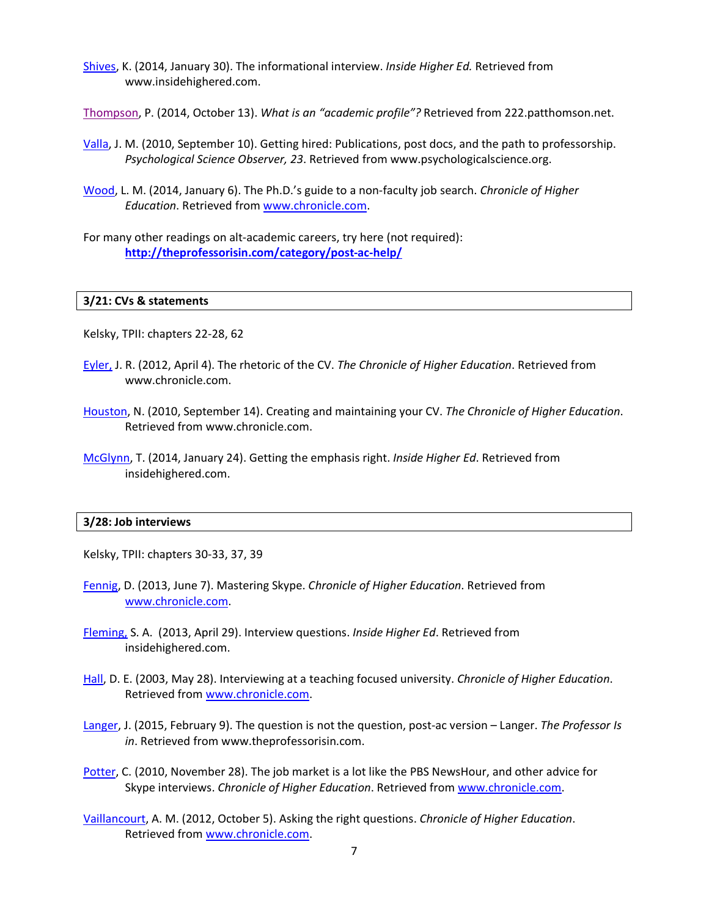- [Shives,](https://www.insidehighered.com/blogs/gradhacker/informational-interview) K. (2014, January 30). The informational interview. *Inside Higher Ed.* Retrieved from www.insidehighered.com.
- [Thompson,](http://patthomson.net/2014/10/13/what-is-an-academic-profile/) P. (2014, October 13). *What is an "academic profile"?* Retrieved from 222.patthomson.net.
- [Valla,](http://www.psychologicalscience.org/index.php/publications/observer/2010/september-10/getting-hired.html) J. M. (2010, September 10). Getting hired: Publications, post docs, and the path to professorship. *Psychological Science Observer, 23*. Retrieved from www.psychologicalscience.org.
- [Wood,](http://www.chronicle.com/article/The-PhDs-Guide-to-a/143715/%20(non-faculty%20jobs)) L. M. (2014, January 6). The Ph.D.'s guide to a non-faculty job search. *Chronicle of Higher Education*. Retrieved from [www.chronicle.com.](http://www.chronicile.com/)
- For many other readings on alt-academic careers, try here (not required): **<http://theprofessorisin.com/category/post-ac-help/>**

#### **3/21: CVs & statements**

Kelsky, TPII: chapters 22-28, 62

- [Eyler,](http://chronicle.com/blogs/profhacker/creatingmaintaining-your-cv/26887) J. R. (2012, April 4). The rhetoric of the CV. *The Chronicle of Higher Education*. Retrieved from www.chronicle.com.
- [Houston,](http://chronicle.com/blogs/profhacker/creatingmaintaining-your-cv/26887) N. (2010, September 14). Creating and maintaining your CV. *The Chronicle of Higher Education*. Retrieved from www.chronicle.com.
- [McGlynn,](https://www.insidehighered.com/advice/2014/01/24/essay-writing-cover-letter-academic-job-teaching-institution) T. (2014, January 24). Getting the emphasis right. *Inside Higher Ed*. Retrieved from insidehighered.com.

#### **3/28: Job interviews**

Kelsky, TPII: chapters 30-33, 37, 39

- [Fennig,](http://chronicle.com/blogs/onhiring/mastering-skype/37817) D. (2013, June 7). Mastering Skype. *Chronicle of Higher Education*. Retrieved from [www.chronicle.com.](http://www.chronicle.com/)
- [Fleming,](http://www.insidehighered.com/advice/2013/04/29/essay-interview-questions-academic-job-searches) S. A. (2013, April 29). Interview questions. *Inside Higher Ed*. Retrieved from insidehighered.com.
- [Hall,](http://chronicle.com/article/Interviewing-at-a/45217/) D. E. (2003, May 28). Interviewing at a teaching focused university. *Chronicle of Higher Education*. Retrieved from [www.chronicle.com.](http://www.chronicle.com/)
- [Langer,](http://theprofessorisin.com/2015/02/09/the-question-is-not-the-question-postac-version-langer/) J. (2015, February 9). The question is not the question, post-ac version Langer. *The Professor Is in*. Retrieved from www.theprofessorisin.com.
- [Potter,](http://chronicle.com/blognetwork/tenuredradical/2010/11/why-job-market-is-lot-like-pbs-newshour/) C. (2010, November 28). The job market is a lot like the PBS NewsHour, and other advice for Skype interviews. *Chronicle of Higher Education*. Retrieved from [www.chronicle.com.](http://www.chronicle.com/)
- [Vaillancourt,](http://chronicle.com/blogs/onhiring/asking-the-right-questions/34300) A. M. (2012, October 5). Asking the right questions. *Chronicle of Higher Education*. Retrieved from [www.chronicle.com.](http://www.chronicle.com/)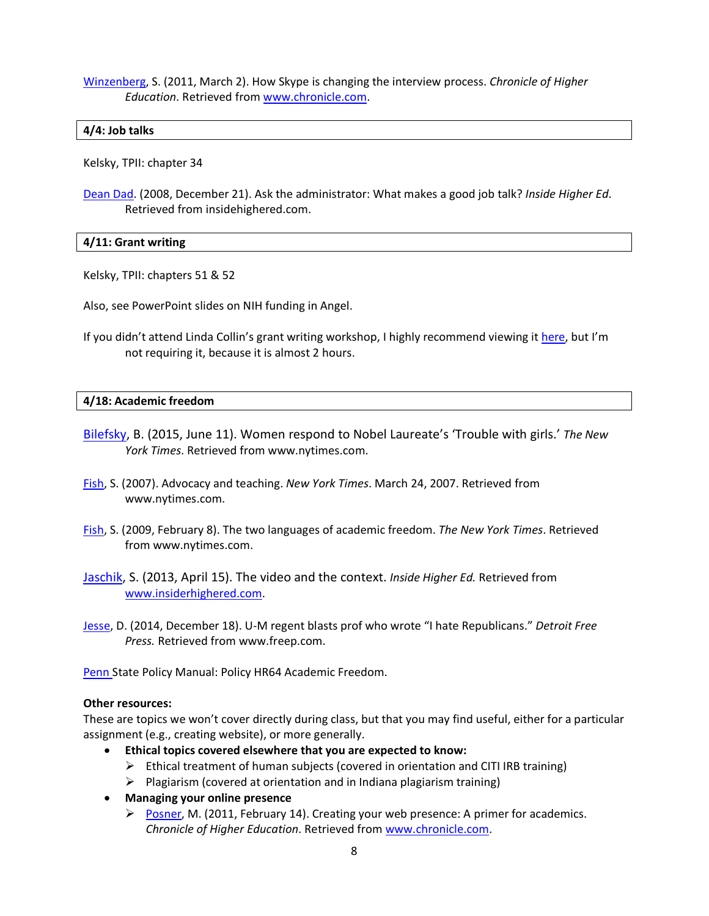[Winzenberg,](http://chronicle.com/article/How-Skype-Is-Changing-the/126529/) S. (2011, March 2). How Skype is changing the interview process. *Chronicle of Higher Education*. Retrieved from [www.chronicle.com.](http://www.chronicle.com/)

## **4/4: Job talks**

Kelsky, TPII: chapter 34

[Dean Dad.](http://www.insidehighered.com/blogs/confessions_of_a_community_college_dean/ask_the_administrator_what_makes_a_good_job_talk) (2008, December 21). Ask the administrator: What makes a good job talk? *Inside Higher Ed*. Retrieved from insidehighered.com.

## **4/11: Grant writing**

Kelsky, TPII: chapters 51 & 52

Also, see PowerPoint slides on NIH funding in Angel.

If you didn't attend Linda Collin's grant writing workshop, I highly recommend viewing it [here,](http://research.hhdev.psu.edu/workshops.html) but I'm not requiring it, because it is almost 2 hours.

## **4/18: Academic freedom**

- [Bilefsky,](http://www.nytimes.com/2015/06/12/world/europe/tim-hunt-nobel-laureate-resigns-sexist-women-female-scientists.html?_r=0) B. (2015, June 11). Women respond to Nobel Laureate's 'Trouble with girls.' *The New York Times*. Retrieved from www.nytimes.com.
- [Fish,](http://select.nytimes.com/2007/03/24/opinion/24fish.html?scp=26&sq=stanley+fish&st=nyt) S. (2007). Advocacy and teaching. *New York Times*. March 24, 2007. Retrieved from www.nytimes.com.
- [Fish,](http://opinionator.blogs.nytimes.com/2009/02/08/the-two-languages-of-academic-freedom/) S. (2009, February 8). The two languages of academic freedom. *The New York Times*. Retrieved from www.nytimes.com.
- [Jaschik,](https://www.insidehighered.com/news/2013/04/15/video-instructor-usc-sets-controversy-context-missing) S. (2013, April 15). The video and the context. *Inside Higher Ed.* Retrieved from [www.insiderhighered.com.](http://www.insiderhighered.com/)
- [Jesse,](http://www.freep.com/story/news/local/2014/12/18/michigan-professor-republicans/20580167/%E2%80%83) D. (2014, December 18). U-M regent blasts prof who wrote "I hate Republicans." *Detroit Free Press.* Retrieved from www.freep.com.

[Penn S](http://guru.psu.edu/policies/OHR/hr64.html)tate Policy Manual: Policy HR64 Academic Freedom.

#### **Other resources:**

These are topics we won't cover directly during class, but that you may find useful, either for a particular assignment (e.g., creating website), or more generally.

- **Ethical topics covered elsewhere that you are expected to know:**
	- $\triangleright$  Ethical treatment of human subjects (covered in orientation and CITI IRB training)
	- $\triangleright$  Plagiarism (covered at orientation and in Indiana plagiarism training)
- **Managing your online presence**
	- [Posner,](http://chronicle.com/blogs/profhacker/creating-your-web-presence-a-primer-for-academics/30458) M. (2011, February 14). Creating your web presence: A primer for academics. *Chronicle of Higher Education*. Retrieved from [www.chronicle.com.](http://www.chronicle.com/)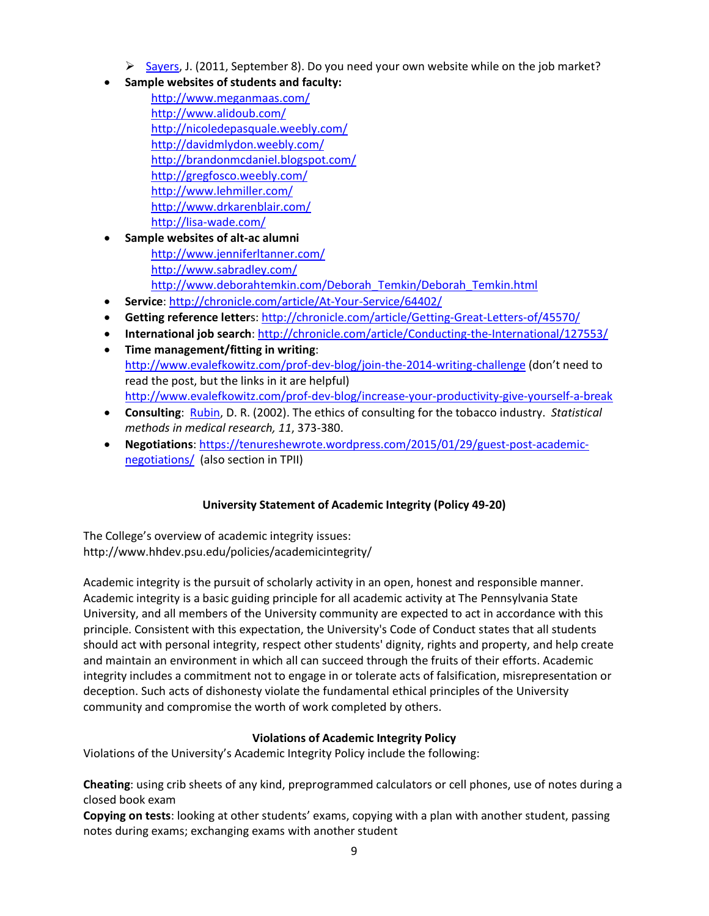- $\triangleright$  [Sayers,](http://chronicle.com/blogs/profhacker/do-you-need-your-own-website-while-on-the-job-market/35825) J. (2011, September 8). Do you need your own website while on the job market?
- **Sample websites of students and faculty:** 
	- <http://www.meganmaas.com/> <http://www.alidoub.com/> <http://nicoledepasquale.weebly.com/> <http://davidmlydon.weebly.com/> <http://brandonmcdaniel.blogspot.com/> <http://gregfosco.weebly.com/> <http://www.lehmiller.com/> <http://www.drkarenblair.com/> <http://lisa-wade.com/>
- **Sample websites of alt-ac alumni** <http://www.jenniferltanner.com/> <http://www.sabradley.com/> [http://www.deborahtemkin.com/Deborah\\_Temkin/Deborah\\_Temkin.html](http://www.deborahtemkin.com/Deborah_Temkin/Deborah_Temkin.html)
- **Service**:<http://chronicle.com/article/At-Your-Service/64402/>
- **Getting reference letter**s:<http://chronicle.com/article/Getting-Great-Letters-of/45570/>
- **International job search**[: http://chronicle.com/article/Conducting-the-International/127553/](http://chronicle.com/article/Conducting-the-International/127553/)
- **Time management/fitting in writing**: <http://www.evalefkowitz.com/prof-dev-blog/join-the-2014-writing-challenge> (don't need to read the post, but the links in it are helpful) <http://www.evalefkowitz.com/prof-dev-blog/increase-your-productivity-give-yourself-a-break>
- **Consulting**: [Rubin,](http://www.stat.columbia.edu/%7Egelman/stuff_for_blog/Ethics-of-Consulting-for-the-Tobacco-Industry.pdf) D. R. (2002). The ethics of consulting for the tobacco industry. *Statistical methods in medical research, 11*, 373-380.
- **Negotiations**: [https://tenureshewrote.wordpress.com/2015/01/29/guest-post-academic](https://tenureshewrote.wordpress.com/2015/01/29/guest-post-academic-negotiations/)[negotiations/](https://tenureshewrote.wordpress.com/2015/01/29/guest-post-academic-negotiations/) (also section in TPII)

# **University Statement of Academic Integrity (Policy 49-20)**

The College's overview of academic integrity issues: http://www.hhdev.psu.edu/policies/academicintegrity/

Academic integrity is the pursuit of scholarly activity in an open, honest and responsible manner. Academic integrity is a basic guiding principle for all academic activity at The Pennsylvania State University, and all members of the University community are expected to act in accordance with this principle. Consistent with this expectation, the University's Code of Conduct states that all students should act with personal integrity, respect other students' dignity, rights and property, and help create and maintain an environment in which all can succeed through the fruits of their efforts. Academic integrity includes a commitment not to engage in or tolerate acts of falsification, misrepresentation or deception. Such acts of dishonesty violate the fundamental ethical principles of the University community and compromise the worth of work completed by others.

# **Violations of Academic Integrity Policy**

Violations of the University's Academic Integrity Policy include the following:

**Cheating**: using crib sheets of any kind, preprogrammed calculators or cell phones, use of notes during a closed book exam

**Copying on tests**: looking at other students' exams, copying with a plan with another student, passing notes during exams; exchanging exams with another student